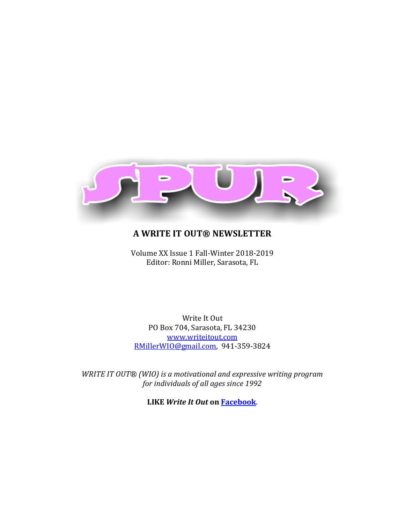

# **A WRITE IT OUT® NEWSLETTER**

Volume XX Issue 1 Fall-Winter 2018-2019 Editor: Ronni Miller, Sarasota, FL

Write It Out PO Box 704, Sarasota, FL 34230 [www.writeitout.com](http://www.writeitout.com/) [RMillerWIO@gmail.com,](mailto:RMillerWIO@gmail.com) 941-359-3824

*WRITE IT OUT® (WIO) is a motivational and expressive writing program for individuals of all ages since 1992*

**LIKE** *Write It Out* **on [Facebook](https://www.facebook.com/pages/category/Public-Figure/Write-It-Out-227039160728480/)**.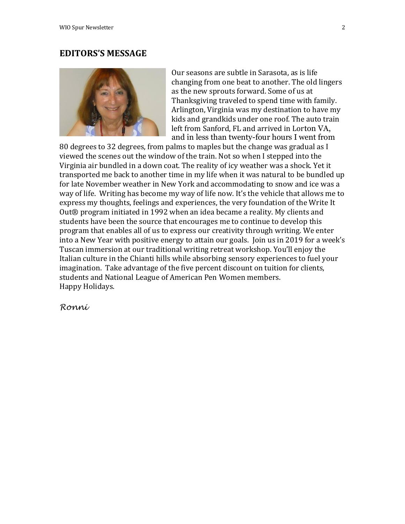# **EDITORS'S MESSAGE**



Our seasons are subtle in Sarasota, as is life changing from one beat to another. The old lingers as the new sprouts forward. Some of us at Thanksgiving traveled to spend time with family. Arlington, Virginia was my destination to have my kids and grandkids under one roof. The auto train left from Sanford, FL and arrived in Lorton VA, and in less than twenty-four hours I went from

80 degrees to 32 degrees, from palms to maples but the change was gradual as I viewed the scenes out the window of the train. Not so when I stepped into the Virginia air bundled in a down coat. The reality of icy weather was a shock. Yet it transported me back to another time in my life when it was natural to be bundled up for late November weather in New York and accommodating to snow and ice was a way of life. Writing has become my way of life now. It's the vehicle that allows me to express my thoughts, feelings and experiences, the very foundation of the Write It Out® program initiated in 1992 when an idea became a reality. My clients and students have been the source that encourages me to continue to develop this program that enables all of us to express our creativity through writing. We enter into a New Year with positive energy to attain our goals. Join us in 2019 for a week's Tuscan immersion at our traditional writing retreat workshop. You'll enjoy the Italian culture in the Chianti hills while absorbing sensory experiences to fuel your imagination. Take advantage of the five percent discount on tuition for clients, students and National League of American Pen Women members. Happy Holidays.

*Ronni*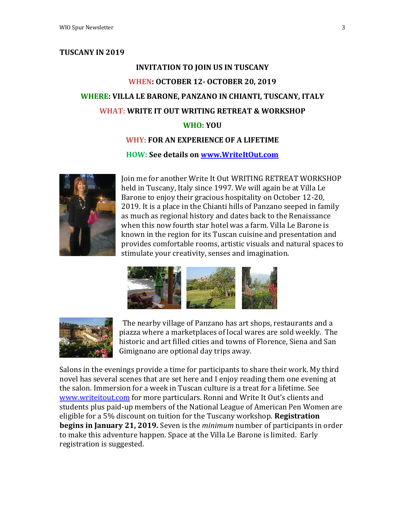### **TUSCANY IN 2019**

# **INVITATION TO JOIN US IN TUSCANY WHEN: OCTOBER 12- OCTOBER 20, 2019 WHERE: VILLA LE BARONE, PANZANO IN CHIANTI, TUSCANY, ITALY WHAT: WRITE IT OUT WRITING RETREAT & WORKSHOP WHO: YOU**

# **WHY: FOR AN EXPERIENCE OF A LIFETIME**

#### **HOW: See details on [www.WriteItOut.com](http://www.writeitout.com/)**



Join me for another Write It Out WRITING RETREAT WORKSHOP held in Tuscany, Italy since 1997. We will again be at Villa Le Barone to enjoy their gracious hospitality on October 12-20, 2019. It is a place in the Chianti hills of Panzano seeped in family as much as regional history and dates back to the Renaissance when this now fourth star hotel was a farm. Villa Le Barone is known in the region for its Tuscan cuisine and presentation and provides comfortable rooms, artistic visuals and natural spaces to stimulate your creativity, senses and imagination.





 The nearby village of Panzano has art shops, restaurants and a piazza where a marketplaces of local wares are sold weekly. The historic and art filled cities and towns of Florence, Siena and San Gimignano are optional day trips away.

Salons in the evenings provide a time for participants to share their work. My third novel has several scenes that are set here and I enjoy reading them one evening at the salon. Immersion for a week in Tuscan culture is a treat for a lifetime. See [www.writeitout.com](http://www.writeitout.com/) for more particulars. Ronni and Write It Out's clients and students plus paid-up members of the National League of American Pen Women are eligible for a 5% discount on tuition for the Tuscany workshop. **Registration begins in January 21, 2019.** Seven is the *minimum* number of participants in order to make this adventure happen. Space at the Villa Le Barone is limited. Early registration is suggested.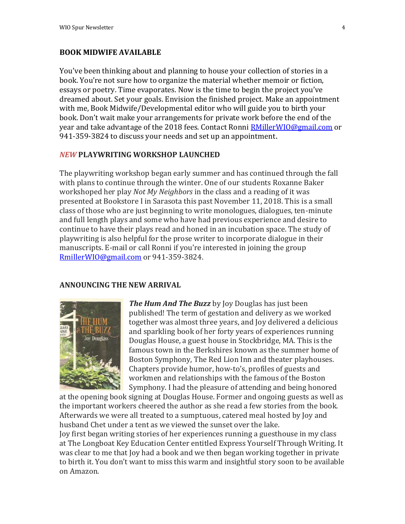# **BOOK MIDWIFE AVAILABLE**

You've been thinking about and planning to house your collection of stories in a book. You're not sure how to organize the material whether memoir or fiction, essays or poetry. Time evaporates. Now is the time to begin the project you've dreamed about. Set your goals. Envision the finished project. Make an appointment with me, Book Midwife/Developmental editor who will guide you to birth your book. Don't wait make your arrangements for private work before the end of the year and take advantage of the 2018 fees. Contact Ronni [RMillerWIO@gmail.com](mailto:RMillerWIO@gmail.com) or 941-359-3824 to discuss your needs and set up an appointment.

# *NEW* **PLAYWRITING WORKSHOP LAUNCHED**

The playwriting workshop began early summer and has continued through the fall with plans to continue through the winter. One of our students Roxanne Baker workshoped her play *Not My Neighbors* in the class and a reading of it was presented at Bookstore I in Sarasota this past November 11, 2018. This is a small class of those who are just beginning to write monologues, dialogues, ten-minute and full length plays and some who have had previous experience and desire to continue to have their plays read and honed in an incubation space. The study of playwriting is also helpful for the prose writer to incorporate dialogue in their manuscripts. E-mail or call Ronni if you're interested in joining the group [RmillerWIO@gmail.com](mailto:RmillerWIO@gmail.com) or 941-359-3824.

#### **ANNOUNCING THE NEW ARRIVAL**



*The Hum And The Buzz* by Joy Douglas has just been published! The term of gestation and delivery as we worked together was almost three years, and Joy delivered a delicious and sparkling book of her forty years of experiences running Douglas House, a guest house in Stockbridge, MA. This is the famous town in the Berkshires known as the summer home of Boston Symphony, The Red Lion Inn and theater playhouses. Chapters provide humor, how-to's, profiles of guests and workmen and relationships with the famous of the Boston Symphony. I had the pleasure of attending and being honored

at the opening book signing at Douglas House. Former and ongoing guests as well as the important workers cheered the author as she read a few stories from the book. Afterwards we were all treated to a sumptuous, catered meal hosted by Joy and husband Chet under a tent as we viewed the sunset over the lake. Joy first began writing stories of her experiences running a guesthouse in my class at The Longboat Key Education Center entitled Express Yourself Through Writing. It was clear to me that Joy had a book and we then began working together in private to birth it. You don't want to miss this warm and insightful story soon to be available on Amazon.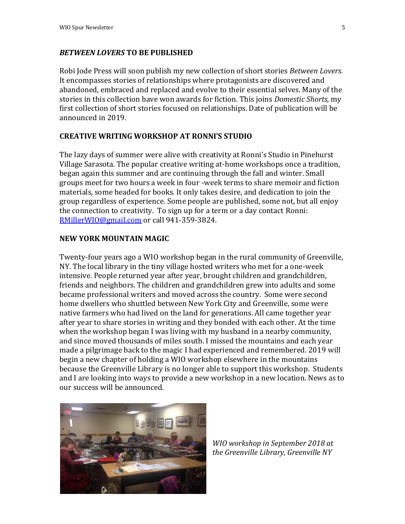### *BETWEEN LOVERS* **TO BE PUBLISHED**

Robi Jode Press will soon publish my new collection of short stories *Between Lovers.*  It encompasses stories of relationships where protagonists are discovered and abandoned, embraced and replaced and evolve to their essential selves. Many of the stories in this collection have won awards for fiction. This joins *Domestic Shorts,* my first collection of short stories focused on relationships. Date of publication will be announced in 2019.

# **CREATIVE WRITING WORKSHOP AT RONNI'S STUDIO**

The lazy days of summer were alive with creativity at Ronni's Studio in Pinehurst Village Sarasota. The popular creative writing at-home workshops once a tradition, began again this summer and are continuing through the fall and winter. Small groups meet for two hours a week in four -week terms to share memoir and fiction materials, some headed for books. It only takes desire, and dedication to join the group regardless of experience. Some people are published, some not, but all enjoy the connection to creativity. To sign up for a term or a day contact Ronni: [RMillerWIO@gmail.com](mailto:RMillerWIO@gmail.com) or call 941-359-3824.

# **NEW YORK MOUNTAIN MAGIC**

Twenty-four years ago a WIO workshop began in the rural community of Greenville, NY. The local library in the tiny village hosted writers who met for a one-week intensive. People returned year after year, brought children and grandchildren, friends and neighbors. The children and grandchildren grew into adults and some became professional writers and moved across the country. Some were second home dwellers who shuttled between New York City and Greenville, some were native farmers who had lived on the land for generations. All came together year after year to share stories in writing and they bonded with each other. At the time when the workshop began I was living with my husband in a nearby community, and since moved thousands of miles south. I missed the mountains and each year made a pilgrimage back to the magic I had experienced and remembered. 2019 will begin a new chapter of holding a WIO workshop elsewhere in the mountains because the Greenville Library is no longer able to support this workshop. Students and I are looking into ways to provide a new workshop in a new location. News as to our success will be announced.



*WIO workshop in September 2018 at the Greenville Library, Greenville NY*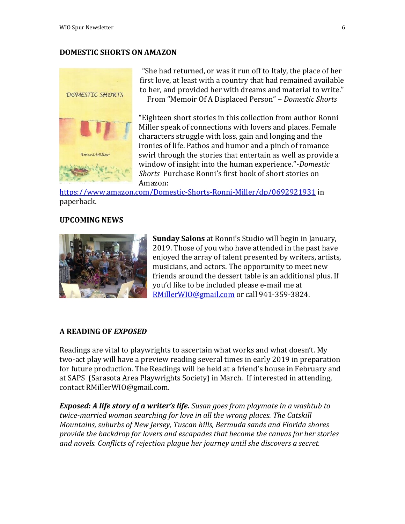# **DOMESTIC SHORTS ON AMAZON**



"She had returned, or was it run off to Italy, the place of her first love, at least with a country that had remained available to her, and provided her with dreams and material to write." From "Memoir Of A Displaced Person" – *Domestic Shorts*

"Eighteen short stories in this collection from author Ronni Miller speak of connections with lovers and places. Female characters struggle with loss, gain and longing and the ironies of life. Pathos and humor and a pinch of romance swirl through the stories that entertain as well as provide a window of insight into the human experience."-*Domestic Shorts* Purchase Ronni's first book of short stories on Amazon:

<https://www.amazon.com/Domestic-Shorts-Ronni-Miller/dp/0692921931> in paperback.

#### **UPCOMING NEWS**



**Sunday Salons** at Ronni's Studio will begin in January, 2019. Those of you who have attended in the past have enjoyed the array of talent presented by writers, artists, musicians, and actors. The opportunity to meet new friends around the dessert table is an additional plus. If you'd like to be included please e-mail me at [RMillerWIO@gmail.com](mailto:RMillerWIO@gmail.com) or call 941-359-3824.

# **A READING OF** *EXPOSED*

Readings are vital to playwrights to ascertain what works and what doesn't. My two-act play will have a preview reading several times in early 2019 in preparation for future production. The Readings will be held at a friend's house in February and at SAPS (Sarasota Area Playwrights Society) in March. If interested in attending, contact RMillerWIO@gmail.com.

*Exposed: A life story of a writer's life. Susan goes from playmate in a washtub to twice-married woman searching for love in all the wrong places. The Catskill Mountains, suburbs of New Jersey, Tuscan hills, Bermuda sands and Florida shores provide the backdrop for lovers and escapades that become the canvas for her stories and novels. Conflicts of rejection plague her journey until she discovers a secret.*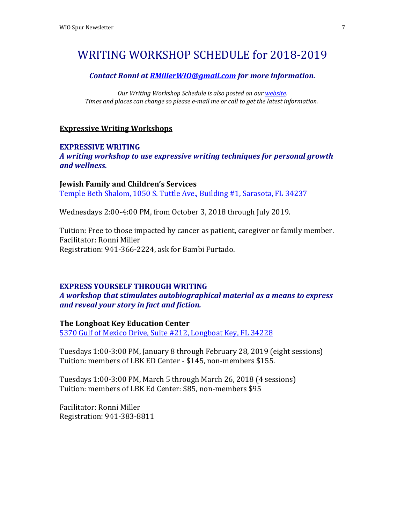# WRITING WORKSHOP SCHEDULE for 2018-2019

#### *Contact Ronni at [RMillerWIO@gmail.com](mailto:RMillerWIO@gmail.com) for more information.*

*Our Writing Workshop Schedule is also posted on ou[r website.](http://www.writeitout.com/WIOlearning.html#Schedule) Times and places can change so please e-mail me or call to get the latest information.*

### **Expressive Writing Workshops**

# **EXPRESSIVE WRITING**

*A writing workshop to use expressive writing techniques for personal growth and wellness.*

**Jewish Family and Children's Services** [Temple Beth Shalom, 1050 S. Tuttle Ave., Building #1, Sarasota, FL 34237](https://www.google.com/maps/place/1050+S+Tuttle+Ave,+Sarasota,+FL+34237/)

Wednesdays 2:00-4:00 PM, from October 3, 2018 through July 2019.

Tuition: Free to those impacted by cancer as patient, caregiver or family member. Facilitator: Ronni Miller Registration: 941-366-2224, ask for Bambi Furtado.

#### **EXPRESS YOURSELF THROUGH WRITING**

*A workshop that stimulates autobiographical material as a means to express and reveal your story in fact and fiction.* 

**The Longboat Key Education Center**

[5370 Gulf of Mexico Drive, Suite #212, Longboat Key, FL 34228](https://www.google.com/maps/place/5370+Gulf+of+Mexico+Dr,+Longboat+Key,+FL+34228)

Tuesdays 1:00-3:00 PM, January 8 through February 28, 2019 (eight sessions) Tuition: members of LBK ED Center - \$145, non-members \$155.

Tuesdays 1:00-3:00 PM, March 5 through March 26, 2018 (4 sessions) Tuition: members of LBK Ed Center: \$85, non-members \$95

Facilitator: Ronni Miller Registration: 941-383-8811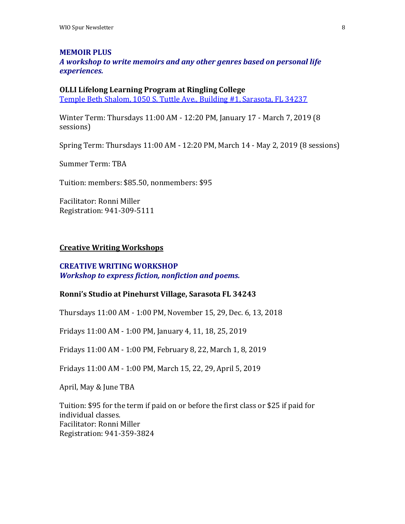#### **MEMOIR PLUS**

*A workshop to write memoirs and any other genres based on personal life experiences.*

#### **OLLI Lifelong Learning Program at Ringling College**

[Temple Beth Shalom, 1050 S. Tuttle Ave., Building #1, Sarasota, FL 34237](https://www.google.com/maps/place/1050+S+Tuttle+Ave,+Sarasota,+FL+34237/)

Winter Term: Thursdays 11:00 AM - 12:20 PM, January 17 - March 7, 2019 (8 sessions)

Spring Term: Thursdays 11:00 AM - 12:20 PM, March 14 - May 2, 2019 (8 sessions)

Summer Term: TBA

Tuition: members: \$85.50, nonmembers: \$95

Facilitator: Ronni Miller Registration: 941-309-5111

# **Creative Writing Workshops**

# **CREATIVE WRITING WORKSHOP** *Workshop to express fiction, nonfiction and poems.*

#### **Ronni's Studio at Pinehurst Village, Sarasota FL 34243**

Thursdays 11:00 AM - 1:00 PM, November 15, 29, Dec. 6, 13, 2018

Fridays 11:00 AM - 1:00 PM, January 4, 11, 18, 25, 2019

Fridays 11:00 AM - 1:00 PM, February 8, 22, March 1, 8, 2019

Fridays 11:00 AM - 1:00 PM, March 15, 22, 29, April 5, 2019

April, May & June TBA

Tuition: \$95 for the term if paid on or before the first class or \$25 if paid for individual classes. Facilitator: Ronni Miller Registration: 941-359-3824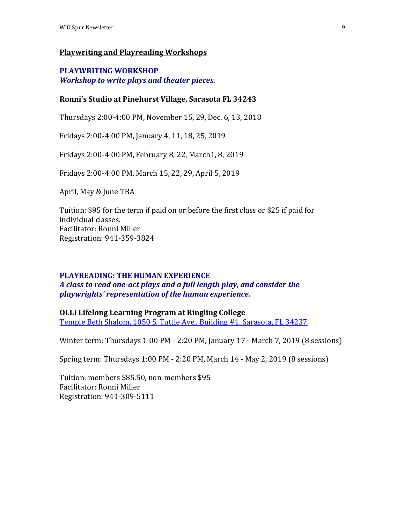# **Playwriting and Playreading Workshops**

# **PLAYWRITING WORKSHOP** *Workshop to write plays and theater pieces.*

# **Ronni's Studio at Pinehurst Village, Sarasota FL 34243**

Thursdays 2:00-4:00 PM, November 15, 29, Dec. 6, 13, 2018

Fridays 2:00-4:00 PM, January 4, 11, 18, 25, 2019

Fridays 2:00-4:00 PM, February 8, 22, March1, 8, 2019

Fridays 2:00-4:00 PM, March 15, 22, 29, April 5, 2019

April, May & June TBA

Tuition: \$95 for the term if paid on or before the first class or \$25 if paid for individual classes. Facilitator: Ronni Miller Registration: 941-359-3824

#### **PLAYREADING: THE HUMAN EXPERIENCE**

*A class to read one-act plays and a full length play, and consider the playwrights' representation of the human experience.*

**OLLI Lifelong Learning Program at Ringling College**

[Temple Beth Shalom, 1050 S. Tuttle Ave., Building](https://www.google.com/maps/place/1050+S+Tuttle+Ave,+Sarasota,+FL+34237/) #1, Sarasota, FL 34237

Winter term: Thursdays 1:00 PM - 2:20 PM, January 17 - March 7, 2019 (8 sessions)

Spring term: Thursdays 1:00 PM - 2:20 PM, March 14 - May 2, 2019 (8 sessions)

Tuition: members \$85.50, non-members \$95 Facilitator: Ronni Miller Registration: 941-309-5111